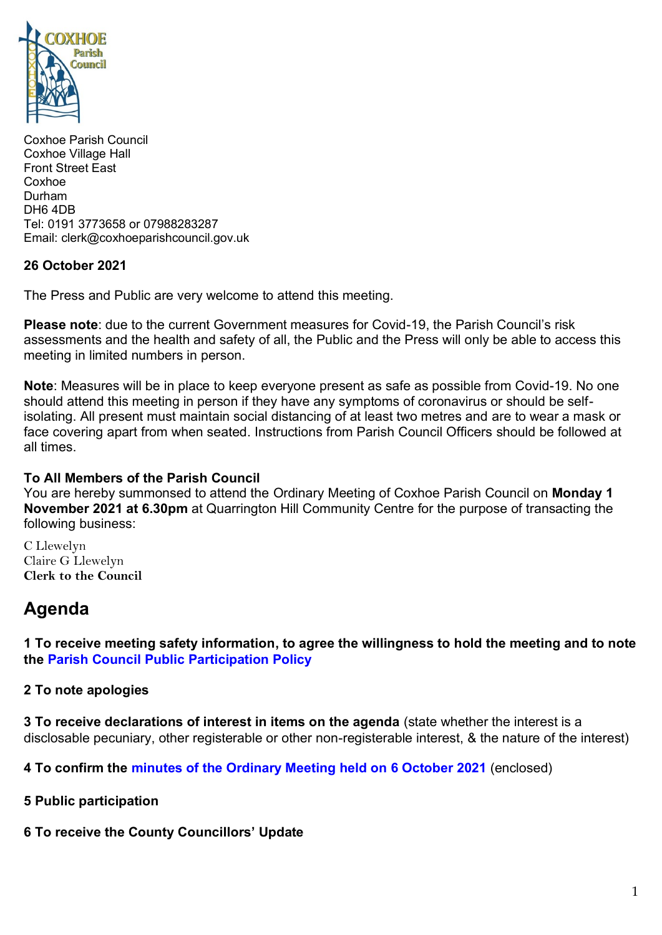

Coxhoe Parish Council Coxhoe Village Hall Front Street East Coxhoe Durham DH6 4DB Tel: 0191 3773658 or 07988283287 Email: clerk@coxhoeparishcouncil.gov.uk

### **26 October 2021**

The Press and Public are very welcome to attend this meeting.

**Please note**: due to the current Government measures for Covid-19, the Parish Council's risk assessments and the health and safety of all, the Public and the Press will only be able to access this meeting in limited numbers in person.

**Note**: Measures will be in place to keep everyone present as safe as possible from Covid-19. No one should attend this meeting in person if they have any symptoms of coronavirus or should be selfisolating. All present must maintain social distancing of at least two metres and are to wear a mask or face covering apart from when seated. Instructions from Parish Council Officers should be followed at all times.

### **To All Members of the Parish Council**

You are hereby summonsed to attend the Ordinary Meeting of Coxhoe Parish Council on **Monday 1 November 2021 at 6.30pm** at Quarrington Hill Community Centre for the purpose of transacting the following business:

C Llewelyn Claire G Llewelyn **Clerk to the Council** 

# **Agenda**

**1 To receive meeting safety information, to agree the willingness to hold the meeting and to note the [Parish Council Public Participation Policy](http://coxhoeparishcouncil.gov.uk/important-documents-and-policies/public-participation-policy-fmarch-2020-review-date-march-2022/)**

### **2 To note apologies**

**3 To receive declarations of interest in items on the agenda** (state whether the interest is a disclosable pecuniary, other registerable or other non-registerable interest, & the nature of the interest)

**4 To confirm the [minutes of the Ordinary Meeting held on 6 October 2021](https://1drv.ms/b/s!Alg_TKmu7xwUgcwploK1BlP9JcJuXA?e=eqYgr4)** (enclosed)

**5 Public participation**

**6 To receive the County Councillors' Update**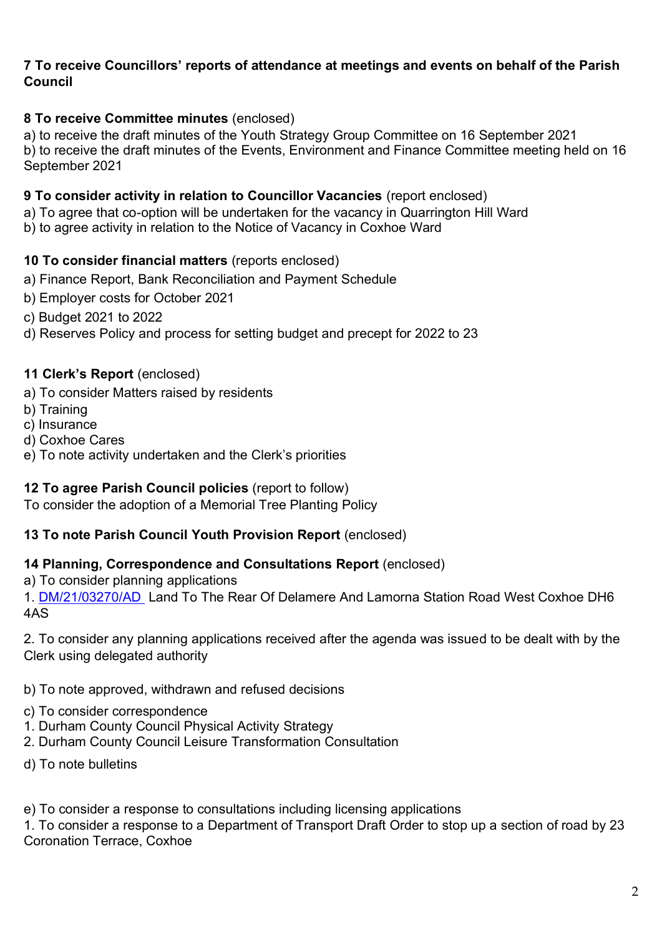## **7 To receive Councillors' reports of attendance at meetings and events on behalf of the Parish Council**

## **8 To receive Committee minutes** (enclosed)

a) to receive the draft minutes of the Youth Strategy Group Committee on 16 September 2021 b) to receive the draft minutes of the Events, Environment and Finance Committee meeting held on 16 September 2021

## **9 To consider activity in relation to Councillor Vacancies** (report enclosed)

a) To agree that co-option will be undertaken for the vacancy in Quarrington Hill Ward

b) to agree activity in relation to the Notice of Vacancy in Coxhoe Ward

## **10 To consider financial matters** (reports enclosed)

- a) Finance Report, Bank Reconciliation and Payment Schedule
- b) Employer costs for October 2021
- c) Budget 2021 to 2022
- d) Reserves Policy and process for setting budget and precept for 2022 to 23

### **11 Clerk's Report** (enclosed)

- a) To consider Matters raised by residents
- b) Training
- c) Insurance
- d) Coxhoe Cares
- e) To note activity undertaken and the Clerk's priorities

### **12 To agree Parish Council policies** (report to follow)

To consider the adoption of a Memorial Tree Planting Policy

### **13 To note Parish Council Youth Provision Report** (enclosed)

### **14 Planning, Correspondence and Consultations Report** (enclosed)

a) To consider planning applications

1. [DM/21/03270/AD](https://publicaccess.durham.gov.uk/online-applications/simpleSearchResults.do?action=firstPage) Land To The Rear Of Delamere And Lamorna Station Road West Coxhoe DH6 4AS

2. To consider any planning applications received after the agenda was issued to be dealt with by the Clerk using delegated authority

b) To note approved, withdrawn and refused decisions

- c) To consider correspondence
- 1. Durham County Council Physical Activity Strategy
- 2. Durham County Council Leisure Transformation Consultation
- d) To note bulletins

e) To consider a response to consultations including licensing applications

1. To consider a response to a Department of Transport Draft Order to stop up a section of road by 23 Coronation Terrace, Coxhoe